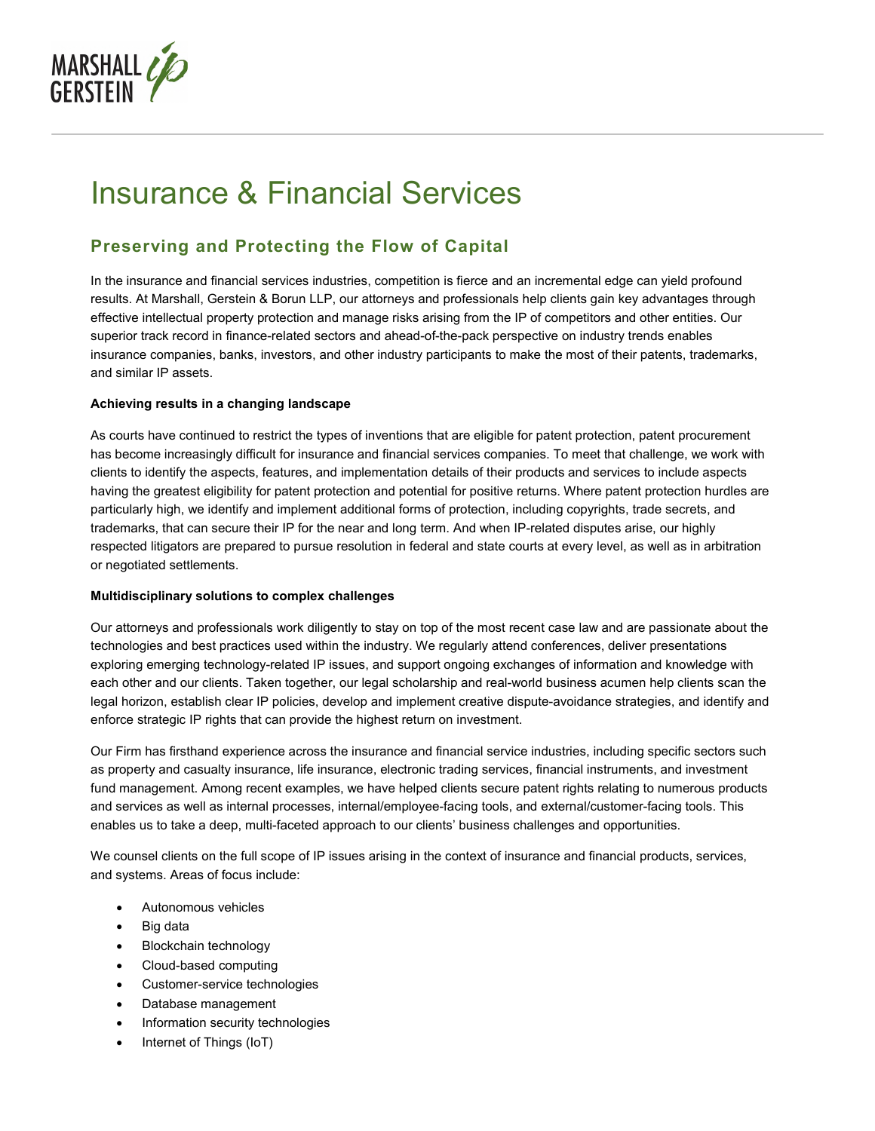

# Insurance & Financial Services

## **Preserving and Protecting the Flow of Capital**

In the insurance and financial services industries, competition is fierce and an incremental edge can yield profound results. At Marshall, Gerstein & Borun LLP, our attorneys and professionals help clients gain key advantages through effective intellectual property protection and manage risks arising from the IP of competitors and other entities. Our superior track record in finance-related sectors and ahead-of-the-pack perspective on industry trends enables insurance companies, banks, investors, and other industry participants to make the most of their patents, trademarks, and similar IP assets.

#### **Achieving results in a changing landscape**

As courts have continued to restrict the types of inventions that are eligible for patent protection, patent procurement has become increasingly difficult for insurance and financial services companies. To meet that challenge, we work with clients to identify the aspects, features, and implementation details of their products and services to include aspects having the greatest eligibility for patent protection and potential for positive returns. Where patent protection hurdles are particularly high, we identify and implement additional forms of protection, including copyrights, trade secrets, and trademarks, that can secure their IP for the near and long term. And when IP-related disputes arise, our highly respected litigators are prepared to pursue resolution in federal and state courts at every level, as well as in arbitration or negotiated settlements.

#### **Multidisciplinary solutions to complex challenges**

Our attorneys and professionals work diligently to stay on top of the most recent case law and are passionate about the technologies and best practices used within the industry. We regularly attend conferences, deliver presentations exploring emerging technology-related IP issues, and support ongoing exchanges of information and knowledge with each other and our clients. Taken together, our legal scholarship and real-world business acumen help clients scan the legal horizon, establish clear IP policies, develop and implement creative dispute-avoidance strategies, and identify and enforce strategic IP rights that can provide the highest return on investment.

Our Firm has firsthand experience across the insurance and financial service industries, including specific sectors such as property and casualty insurance, life insurance, electronic trading services, financial instruments, and investment fund management. Among recent examples, we have helped clients secure patent rights relating to numerous products and services as well as internal processes, internal/employee-facing tools, and external/customer-facing tools. This enables us to take a deep, multi-faceted approach to our clients' business challenges and opportunities.

We counsel clients on the full scope of IP issues arising in the context of insurance and financial products, services, and systems. Areas of focus include:

- Autonomous vehicles
- Big data
- Blockchain technology
- Cloud-based computing
- Customer-service technologies
- Database management
- Information security technologies
- Internet of Things (IoT)